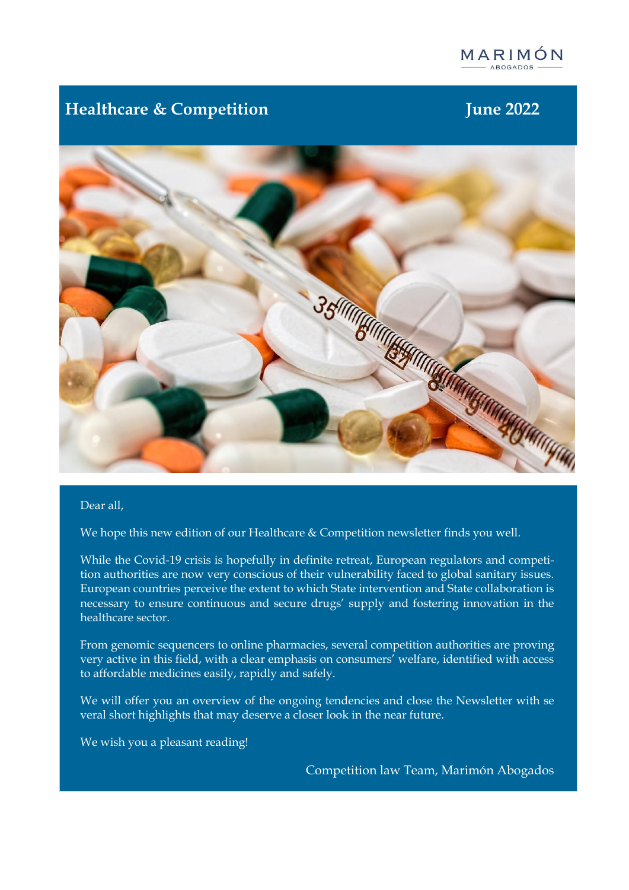

# **Healthcare & Competition June 2022**



### Dear all,

We hope this new edition of our Healthcare & Competition newsletter finds you well.

While the Covid-19 crisis is hopefully in definite retreat, European regulators and competition authorities are now very conscious of their vulnerability faced to global sanitary issues. European countries perceive the extent to which State intervention and State collaboration is necessary to ensure continuous and secure drugs' supply and fostering innovation in the healthcare sector.

From genomic sequencers to online pharmacies, several competition authorities are proving very active in this field, with a clear emphasis on consumers' welfare, identified with access to affordable medicines easily, rapidly and safely.

We will offer you an overview of the ongoing tendencies and close the Newsletter with se veral short highlights that may deserve a closer look in the near future.

We wish you a pleasant reading!

Competition law Team, Marimón Abogados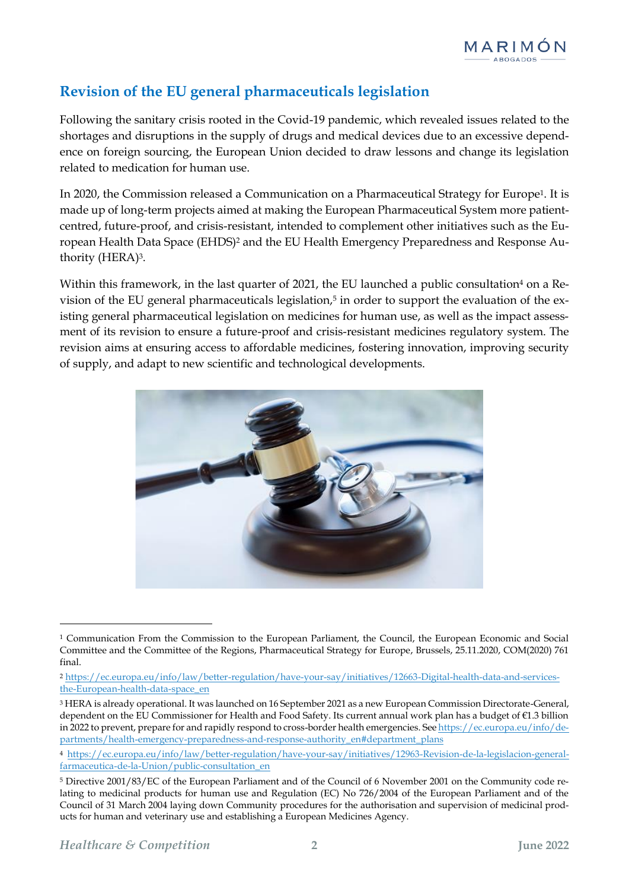# **Revision of the EU general pharmaceuticals legislation**

Following the sanitary crisis rooted in the Covid-19 pandemic, which revealed issues related to the shortages and disruptions in the supply of drugs and medical devices due to an excessive dependence on foreign sourcing, the European Union decided to draw lessons and change its legislation related to medication for human use.

In 2020, the Commission released a Communication on a Pharmaceutical Strategy for Europe1. It is made up of long-term projects aimed at making the European Pharmaceutical System more patientcentred, future-proof, and crisis-resistant, intended to complement other initiatives such as the European Health Data Space (EHDS)<sup>2</sup> and the EU Health Emergency Preparedness and Response Authority (HERA)3.

Within this framework, in the last quarter of 2021, the EU launched a public consultation<sup>4</sup> on a Revision of the EU general pharmaceuticals legislation,<sup>5</sup> in order to support the evaluation of the existing general pharmaceutical legislation on medicines for human use, as well as the impact assessment of its revision to ensure a future-proof and crisis-resistant medicines regulatory system. The revision aims at ensuring access to affordable medicines, fostering innovation, improving security of supply, and adapt to new scientific and technological developments.



<sup>1</sup> Communication From the Commission to the European Parliament, the Council, the European Economic and Social Committee and the Committee of the Regions, Pharmaceutical Strategy for Europe, Brussels, 25.11.2020, COM(2020) 761 final.

<sup>2</sup> [https://ec.europa.eu/info/law/better-regulation/have-your-say/initiatives/12663-Digital-health-data-and-services](https://ec.europa.eu/info/law/better-regulation/have-your-say/initiatives/12663-Digital-health-data-and-services-the-European-health-data-space_en)[the-European-health-data-space\\_en](https://ec.europa.eu/info/law/better-regulation/have-your-say/initiatives/12663-Digital-health-data-and-services-the-European-health-data-space_en)

<sup>3</sup> HERA is already operational. It was launched on 16 September 2021 as a new European Commission Directorate-General, dependent on the EU Commissioner for Health and Food Safety. Its current annual work plan has a budget of €1.3 billion in 2022 to prevent, prepare for and rapidly respond to cross-border health emergencies. Se[e https://ec.europa.eu/info/de](https://ec.europa.eu/info/departments/health-emergency-preparedness-and-response-authority_en#department_plans)[partments/health-emergency-preparedness-and-response-authority\\_en#department\\_plans](https://ec.europa.eu/info/departments/health-emergency-preparedness-and-response-authority_en#department_plans)

<sup>4</sup> [https://ec.europa.eu/info/law/better-regulation/have-your-say/initiatives/12963-Revision-de-la-legislacion-general](https://ec.europa.eu/info/law/better-regulation/have-your-say/initiatives/12963-Revision-de-la-legislacion-general-farmaceutica-de-la-Union/public-consultation_en)[farmaceutica-de-la-Union/public-consultation\\_en](https://ec.europa.eu/info/law/better-regulation/have-your-say/initiatives/12963-Revision-de-la-legislacion-general-farmaceutica-de-la-Union/public-consultation_en)

<sup>5</sup> Directive 2001/83/EC of the European Parliament and of the Council of 6 November 2001 on the Community code relating to medicinal products for human use and Regulation (EC) No 726/2004 of the European Parliament and of the Council of 31 March 2004 laying down Community procedures for the authorisation and supervision of medicinal products for human and veterinary use and establishing a European Medicines Agency.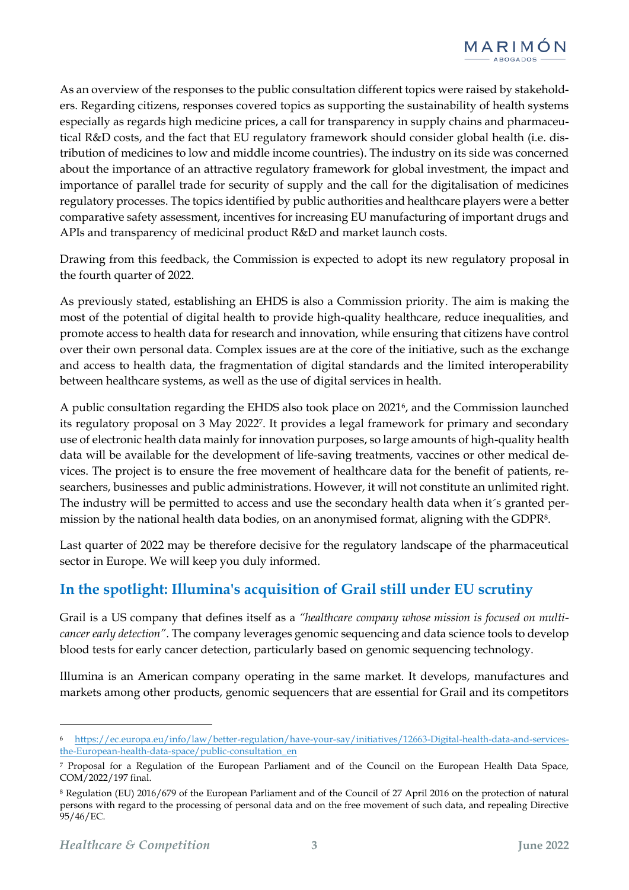

As an overview of the responses to the public consultation different topics were raised by stakeholders. Regarding citizens, responses covered topics as supporting the sustainability of health systems especially as regards high medicine prices, a call for transparency in supply chains and pharmaceutical R&D costs, and the fact that EU regulatory framework should consider global health (i.e. distribution of medicines to low and middle income countries). The industry on its side was concerned about the importance of an attractive regulatory framework for global investment, the impact and importance of parallel trade for security of supply and the call for the digitalisation of medicines regulatory processes. The topics identified by public authorities and healthcare players were a better comparative safety assessment, incentives for increasing EU manufacturing of important drugs and APIs and transparency of medicinal product R&D and market launch costs.

Drawing from this feedback, the Commission is expected to adopt its new regulatory proposal in the fourth quarter of 2022.

As previously stated, establishing an EHDS is also a Commission priority. The aim is making the most of the potential of digital health to provide high-quality healthcare, reduce inequalities, and promote access to health data for research and innovation, while ensuring that citizens have control over their own personal data. Complex issues are at the core of the initiative, such as the exchange and access to health data, the fragmentation of digital standards and the limited interoperability between healthcare systems, as well as the use of digital services in health.

A public consultation regarding the EHDS also took place on 20216, and the Commission launched its regulatory proposal on 3 May 20227. It provides a legal framework for primary and secondary use of electronic health data mainly for innovation purposes, so large amounts of high-quality health data will be available for the development of life-saving treatments, vaccines or other medical devices. The project is to ensure the free movement of healthcare data for the benefit of patients, researchers, businesses and public administrations. However, it will not constitute an unlimited right. The industry will be permitted to access and use the secondary health data when it´s granted permission by the national health data bodies, on an anonymised format, aligning with the GDPR8.

Last quarter of 2022 may be therefore decisive for the regulatory landscape of the pharmaceutical sector in Europe. We will keep you duly informed.

## **In the spotlight: Illumina's acquisition of Grail still under EU scrutiny**

Grail is a US company that defines itself as a *"healthcare company whose mission is focused on multicancer early detection"*. The company leverages genomic sequencing and data science tools to develop blood tests for early cancer detection, particularly based on genomic sequencing technology.

Illumina is an American company operating in the same market. It develops, manufactures and markets among other products, genomic sequencers that are essential for Grail and its competitors

<sup>6</sup> [https://ec.europa.eu/info/law/better-regulation/have-your-say/initiatives/12663-Digital-health-data-and-services](https://ec.europa.eu/info/law/better-regulation/have-your-say/initiatives/12663-Digital-health-data-and-services-the-European-health-data-space/public-consultation_en)[the-European-health-data-space/public-consultation\\_en](https://ec.europa.eu/info/law/better-regulation/have-your-say/initiatives/12663-Digital-health-data-and-services-the-European-health-data-space/public-consultation_en)

<sup>7</sup> Proposal for a Regulation of the European Parliament and of the Council on the European Health Data Space, COM/2022/197 final.

<sup>8</sup> Regulation (EU) 2016/679 of the European Parliament and of the Council of 27 April 2016 on the protection of natural persons with regard to the processing of personal data and on the free movement of such data, and repealing Directive 95/46/EC.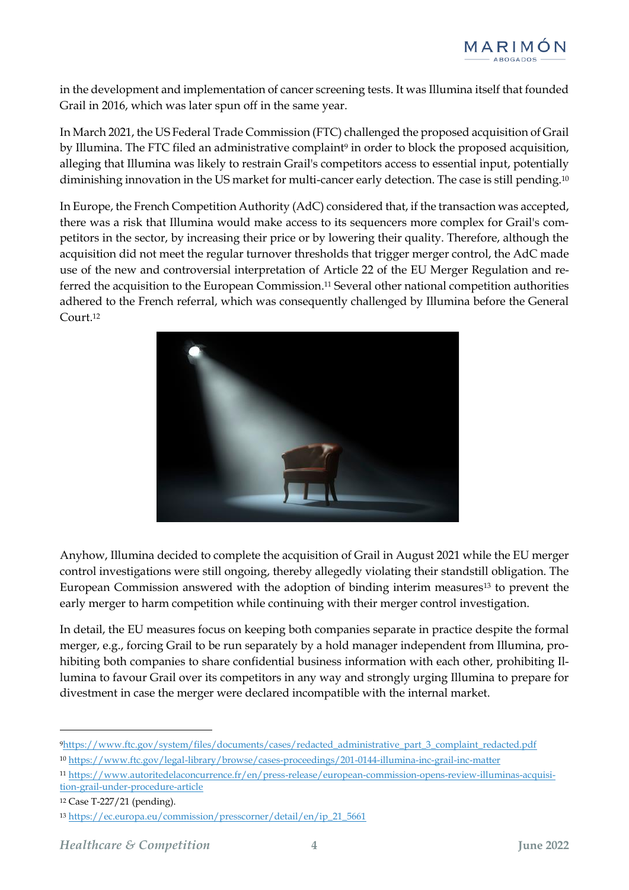in the development and implementation of cancer screening tests. It was Illumina itself that founded Grail in 2016, which was later spun off in the same year.

In March 2021, the US Federal Trade Commission (FTC) challenged the proposed acquisition of Grail by Illumina. The FTC filed an administrative complaint<sup>9</sup> in order to block the proposed acquisition, alleging that Illumina was likely to restrain Grail's competitors access to essential input, potentially diminishing innovation in the US market for multi-cancer early detection. The case is still pending.<sup>10</sup>

In Europe, the French Competition Authority (AdC) considered that, if the transaction was accepted, there was a risk that Illumina would make access to its sequencers more complex for Grail's competitors in the sector, by increasing their price or by lowering their quality. Therefore, although the acquisition did not meet the regular turnover thresholds that trigger merger control, the AdC made use of the new and controversial interpretation of Article 22 of the EU Merger Regulation and referred the acquisition to the European Commission. <sup>11</sup> Several other national competition authorities adhered to the French referral, which was consequently challenged by Illumina before the General Court.<sup>12</sup>



Anyhow, Illumina decided to complete the acquisition of Grail in August 2021 while the EU merger control investigations were still ongoing, thereby allegedly violating their standstill obligation. The European Commission answered with the adoption of binding interim measures<sup>13</sup> to prevent the early merger to harm competition while continuing with their merger control investigation.

In detail, the EU measures focus on keeping both companies separate in practice despite the formal merger, e.g., forcing Grail to be run separately by a hold manager independent from Illumina, prohibiting both companies to share confidential business information with each other, prohibiting Illumina to favour Grail over its competitors in any way and strongly urging Illumina to prepare for divestment in case the merger were declared incompatible with the internal market.

<sup>9</sup>[https://www.ftc.gov/system/files/documents/cases/redacted\\_administrative\\_part\\_3\\_complaint\\_redacted.pdf](https://www.ftc.gov/system/files/documents/cases/redacted_administrative_part_3_complaint_redacted.pdf)

<sup>10</sup> <https://www.ftc.gov/legal-library/browse/cases-proceedings/201-0144-illumina-inc-grail-inc-matter>

<sup>11</sup> [https://www.autoritedelaconcurrence.fr/en/press-release/european-commission-opens-review-illuminas-acquisi](https://www.autoritedelaconcurrence.fr/en/press-release/european-commission-opens-review-illuminas-acquisition-grail-under-procedure-article)[tion-grail-under-procedure-article](https://www.autoritedelaconcurrence.fr/en/press-release/european-commission-opens-review-illuminas-acquisition-grail-under-procedure-article)

<sup>12</sup> Case T-227/21 (pending).

<sup>13</sup> [https://ec.europa.eu/commission/presscorner/detail/en/ip\\_21\\_5661](https://ec.europa.eu/commission/presscorner/detail/en/ip_21_5661)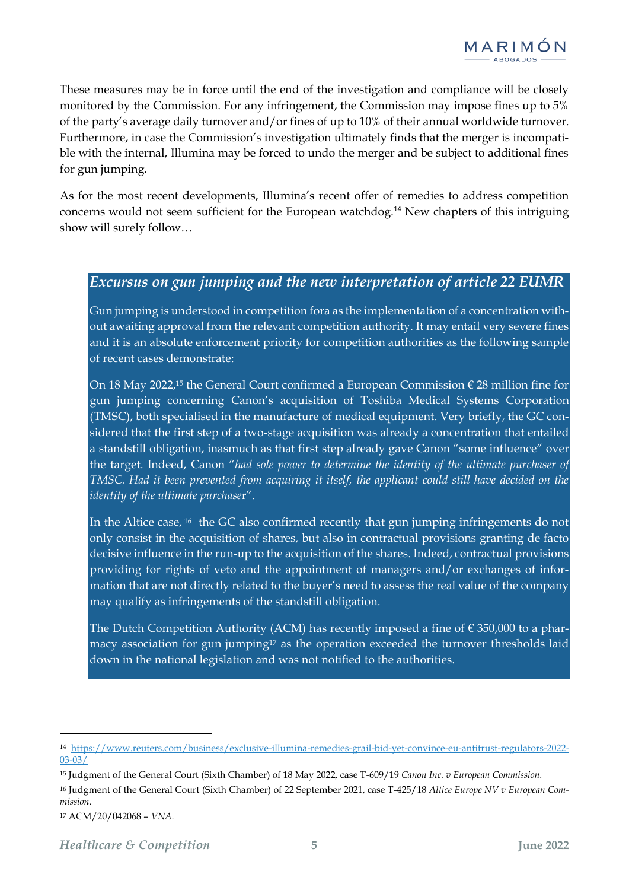These measures may be in force until the end of the investigation and compliance will be closely monitored by the Commission. For any infringement, the Commission may impose fines up to 5% of the party's average daily turnover and/or fines of up to 10% of their annual worldwide turnover. Furthermore, in case the Commission's investigation ultimately finds that the merger is incompatible with the internal, Illumina may be forced to undo the merger and be subject to additional fines for gun jumping.

As for the most recent developments, Illumina's recent offer of remedies to address competition concerns would not seem sufficient for the European watchdog.<sup>14</sup> New chapters of this intriguing show will surely follow…

### *Excursus on gun jumping and the new interpretation of article 22 EUMR*

Gun jumping is understood in competition fora as the implementation of a concentration without awaiting approval from the relevant competition authority. It may entail very severe fines and it is an absolute enforcement priority for competition authorities as the following sample of recent cases demonstrate:

On 18 May 2022,<sup>15</sup> the General Court confirmed a European Commission  $\epsilon$  28 million fine for gun jumping concerning Canon's acquisition of Toshiba Medical Systems Corporation (TMSC), both specialised in the manufacture of medical equipment. Very briefly, the GC considered that the first step of a two-stage acquisition was already a concentration that entailed a standstill obligation, inasmuch as that first step already gave Canon "some influence" over the target. Indeed, Canon "*had sole power to determine the identity of the ultimate purchaser of TMSC. Had it been prevented from acquiring it itself, the applicant could still have decided on the identity of the ultimate purchase*r".

In the Altice case, <sup>16</sup> the GC also confirmed recently that gun jumping infringements do not only consist in the acquisition of shares, but also in contractual provisions granting de facto decisive influence in the run-up to the acquisition of the shares. Indeed, contractual provisions providing for rights of veto and the appointment of managers and/or exchanges of information that are not directly related to the buyer's need to assess the real value of the company may qualify as infringements of the standstill obligation.

The Dutch Competition Authority (ACM) has recently imposed a fine of  $\epsilon$  350,000 to a pharmacy association for gun jumping<sup>17</sup> as the operation exceeded the turnover thresholds laid down in the national legislation and was not notified to the authorities.

<sup>14</sup> [https://www.reuters.com/business/exclusive-illumina-remedies-grail-bid-yet-convince-eu-antitrust-regulators-2022-](https://www.reuters.com/business/exclusive-illumina-remedies-grail-bid-yet-convince-eu-antitrust-regulators-2022-03-03/) [03-03/](https://www.reuters.com/business/exclusive-illumina-remedies-grail-bid-yet-convince-eu-antitrust-regulators-2022-03-03/)

<sup>15</sup> Judgment of the General Court (Sixth Chamber) of 18 May 2022, case T-609/19 *Canon Inc. v European Commission.*

<sup>16</sup> Judgment of the General Court (Sixth Chamber) of 22 September 2021, case T-425/18 *Altice Europe NV v European Commission*.

<sup>17</sup> ACM/20/042068 – *VNA.*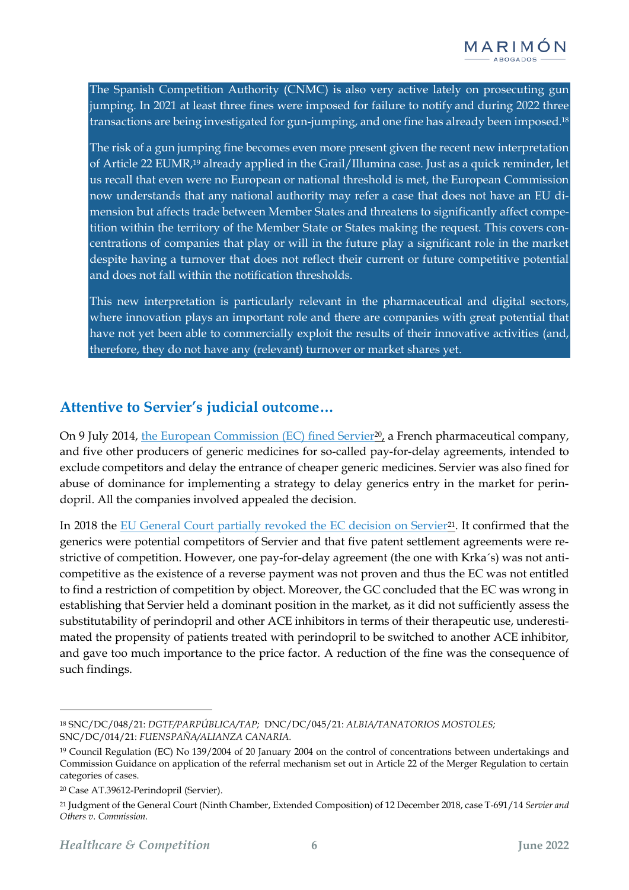The Spanish Competition Authority (CNMC) is also very active lately on prosecuting gun jumping. In 2021 at least three fines were imposed for failure to notify and during 2022 three transactions are being investigated for gun-jumping, and one fine has already been imposed.<sup>18</sup>

The risk of a gun jumping fine becomes even more present given the recent new interpretation of Article 22 EUMR,<sup>19</sup> already applied in the Grail/Illumina case. Just as a quick reminder, let us recall that even were no European or national threshold is met, the European Commission now understands that any national authority may refer a case that does not have an EU dimension but affects trade between Member States and threatens to significantly affect competition within the territory of the Member State or States making the request. This covers concentrations of companies that play or will in the future play a significant role in the market despite having a turnover that does not reflect their current or future competitive potential and does not fall within the notification thresholds.

This new interpretation is particularly relevant in the pharmaceutical and digital sectors, where innovation plays an important role and there are companies with great potential that have not yet been able to commercially exploit the results of their innovative activities (and, therefore, they do not have any (relevant) turnover or market shares yet.

### **Attentive to Servier's judicial outcome…**

On 9 July 2014, [the European Commission \(EC\) fined Servier](https://ec.europa.eu/commission/presscorner/detail/en/IP_14_799)<sup>20</sup>, a French pharmaceutical company, and five other producers of generic medicines for so-called pay-for-delay agreements, intended to exclude competitors and delay the entrance of cheaper generic medicines. Servier was also fined for abuse of dominance for implementing a strategy to delay generics entry in the market for perindopril. All the companies involved appealed the decision.

In 2018 the [EU General Court partially revoked the EC decision on Servier](https://curia.europa.eu/juris/document/document.jsf?text=&docid=208901&pageIndex=0&doclang=en&mode=lst&dir=&occ=first&part=1&cid=26179221)<sup>21</sup>. It confirmed that the generics were potential competitors of Servier and that five patent settlement agreements were restrictive of competition. However, one pay-for-delay agreement (the one with Krka´s) was not anticompetitive as the existence of a reverse payment was not proven and thus the EC was not entitled to find a restriction of competition by object. Moreover, the GC concluded that the EC was wrong in establishing that Servier held a dominant position in the market, as it did not sufficiently assess the substitutability of perindopril and other ACE inhibitors in terms of their therapeutic use, underestimated the propensity of patients treated with perindopril to be switched to another ACE inhibitor, and gave too much importance to the price factor. A reduction of the fine was the consequence of such findings.

<sup>18</sup> SNC/DC/048/21: *DGTF/PARPÚBLICA/TAP;* DNC/DC/045/21: *ALBIA/TANATORIOS MOSTOLES;* SNC/DC/014/21: *FUENSPAÑA/ALIANZA CANARIA.*

<sup>19</sup> Council Regulation (EC) No 139/2004 of 20 January 2004 on the control of concentrations between undertakings and Commission Guidance on application of the referral mechanism set out in Article 22 of the Merger Regulation to certain categories of cases.

<sup>20</sup> Case AT.39612-Perindopril (Servier).

<sup>21</sup> Judgment of the General Court (Ninth Chamber, Extended Composition) of 12 December 2018, case T-691/14 *Servier and Others v. Commission.*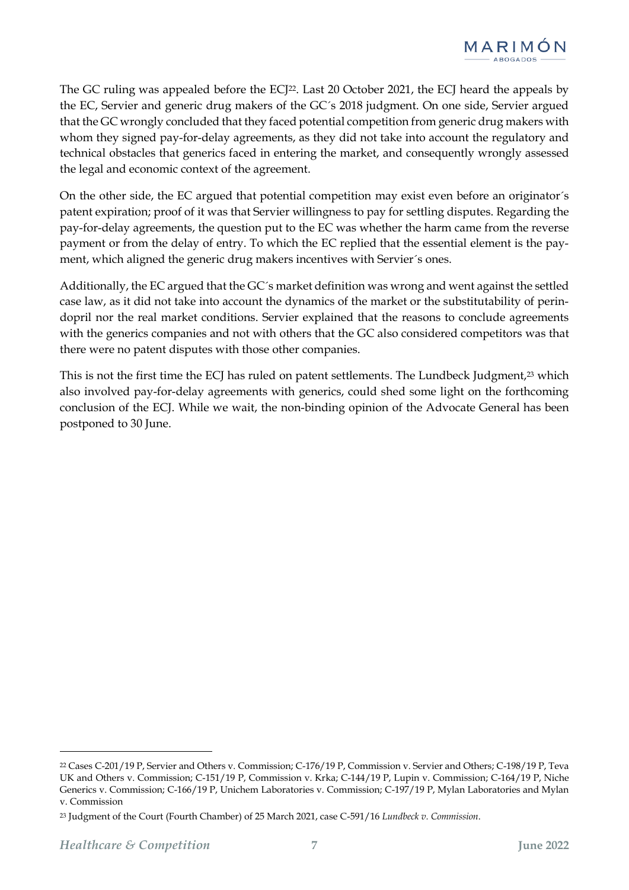

The GC ruling was appealed before the ECJ<sup>22</sup>. Last 20 October 2021, the ECJ heard the appeals by the EC, Servier and generic drug makers of the GC´s 2018 judgment. On one side, Servier argued that the GC wrongly concluded that they faced potential competition from generic drug makers with whom they signed pay-for-delay agreements, as they did not take into account the regulatory and technical obstacles that generics faced in entering the market, and consequently wrongly assessed the legal and economic context of the agreement.

On the other side, the EC argued that potential competition may exist even before an originator´s patent expiration; proof of it was that Servier willingness to pay for settling disputes. Regarding the pay-for-delay agreements, the question put to the EC was whether the harm came from the reverse payment or from the delay of entry. To which the EC replied that the essential element is the payment, which aligned the generic drug makers incentives with Servier´s ones.

Additionally, the EC argued that the GC´s market definition was wrong and went against the settled case law, as it did not take into account the dynamics of the market or the substitutability of perindopril nor the real market conditions. Servier explained that the reasons to conclude agreements with the generics companies and not with others that the GC also considered competitors was that there were no patent disputes with those other companies.

This is not the first time the ECJ has ruled on patent settlements. The Lundbeck Judgment,<sup>23</sup> which also involved pay-for-delay agreements with generics, could shed some light on the forthcoming conclusion of the ECJ. While we wait, the non-binding opinion of the Advocate General has been postponed to 30 June.

<sup>22</sup> Cases C-201/19 P, Servier and Others v. Commission; C-176/19 P, Commission v. Servier and Others; C-198/19 P, Teva UK and Others v. Commission; C-151/19 P, Commission v. Krka; C-144/19 P, Lupin v. Commission; C-164/19 P, Niche Generics v. Commission; C-166/19 P, Unichem Laboratories v. Commission; C-197/19 P, Mylan Laboratories and Mylan v. Commission

<sup>23</sup> Judgment of the Court (Fourth Chamber) of 25 March 2021, case C-591/16 *Lundbeck v. Commission*.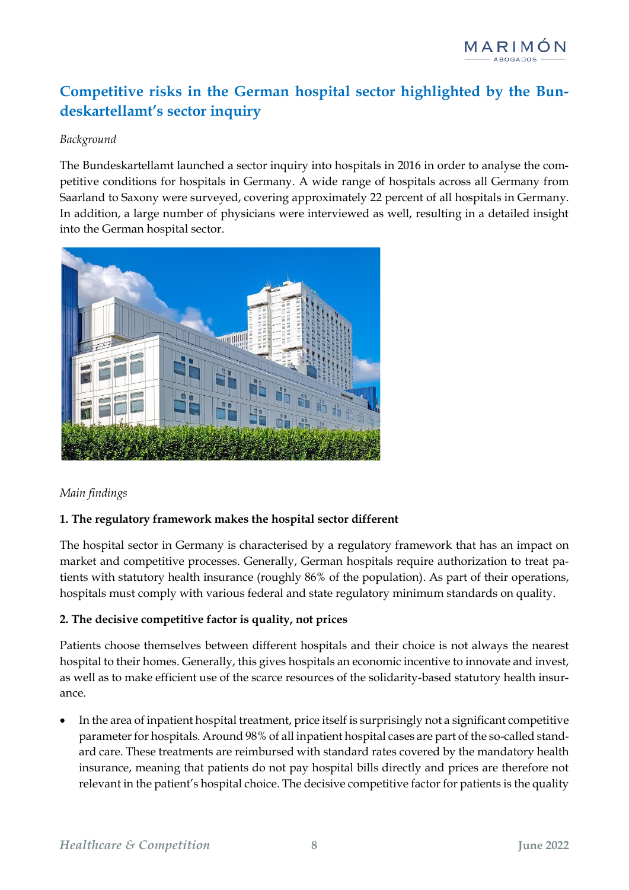# **Competitive risks in the German hospital sector highlighted by the Bundeskartellamt's sector inquiry**

### *Background*

The Bundeskartellamt launched a sector inquiry into hospitals in 2016 in order to analyse the competitive conditions for hospitals in Germany. A wide range of hospitals across all Germany from Saarland to Saxony were surveyed, covering approximately 22 percent of all hospitals in Germany. In addition, a large number of physicians were interviewed as well, resulting in a detailed insight into the German hospital sector.



### *Main findings*

### **1. The regulatory framework makes the hospital sector different**

The hospital sector in Germany is characterised by a regulatory framework that has an impact on market and competitive processes. Generally, German hospitals require authorization to treat patients with statutory health insurance (roughly 86% of the population). As part of their operations, hospitals must comply with various federal and state regulatory minimum standards on quality.

### **2. The decisive competitive factor is quality, not prices**

Patients choose themselves between different hospitals and their choice is not always the nearest hospital to their homes. Generally, this gives hospitals an economic incentive to innovate and invest, as well as to make efficient use of the scarce resources of the solidarity-based statutory health insurance.

• In the area of inpatient hospital treatment, price itself is surprisingly not a significant competitive parameter for hospitals. Around 98% of all inpatient hospital cases are part of the so-called standard care. These treatments are reimbursed with standard rates covered by the mandatory health insurance, meaning that patients do not pay hospital bills directly and prices are therefore not relevant in the patient's hospital choice. The decisive competitive factor for patients is the quality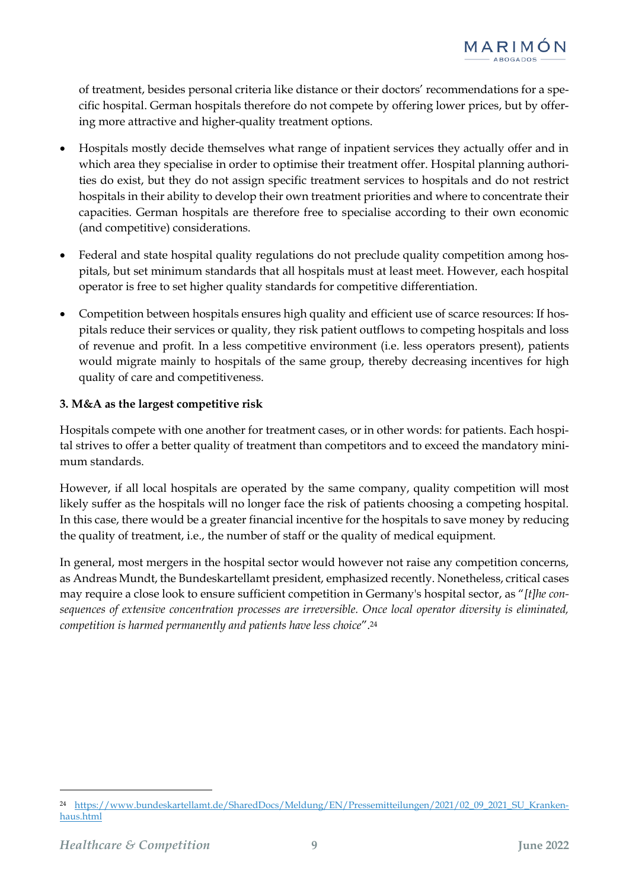of treatment, besides personal criteria like distance or their doctors' recommendations for a specific hospital. German hospitals therefore do not compete by offering lower prices, but by offering more attractive and higher-quality treatment options.

- Hospitals mostly decide themselves what range of inpatient services they actually offer and in which area they specialise in order to optimise their treatment offer. Hospital planning authorities do exist, but they do not assign specific treatment services to hospitals and do not restrict hospitals in their ability to develop their own treatment priorities and where to concentrate their capacities. German hospitals are therefore free to specialise according to their own economic (and competitive) considerations.
- Federal and state hospital quality regulations do not preclude quality competition among hospitals, but set minimum standards that all hospitals must at least meet. However, each hospital operator is free to set higher quality standards for competitive differentiation.
- Competition between hospitals ensures high quality and efficient use of scarce resources: If hospitals reduce their services or quality, they risk patient outflows to competing hospitals and loss of revenue and profit. In a less competitive environment (i.e. less operators present), patients would migrate mainly to hospitals of the same group, thereby decreasing incentives for high quality of care and competitiveness.

### **3. M&A as the largest competitive risk**

Hospitals compete with one another for treatment cases, or in other words: for patients. Each hospital strives to offer a better quality of treatment than competitors and to exceed the mandatory minimum standards.

However, if all local hospitals are operated by the same company, quality competition will most likely suffer as the hospitals will no longer face the risk of patients choosing a competing hospital. In this case, there would be a greater financial incentive for the hospitals to save money by reducing the quality of treatment, i.e., the number of staff or the quality of medical equipment.

In general, most mergers in the hospital sector would however not raise any competition concerns, as Andreas Mundt, the Bundeskartellamt president, emphasized recently. Nonetheless, critical cases may require a close look to ensure sufficient competition in Germany's hospital sector, as "*[t]he consequences of extensive concentration processes are irreversible. Once local operator diversity is eliminated, competition is harmed permanently and patients have less choice*".<sup>24</sup>

<sup>24</sup> [https://www.bundeskartellamt.de/SharedDocs/Meldung/EN/Pressemitteilungen/2021/02\\_09\\_2021\\_SU\\_Kranken](https://www.bundeskartellamt.de/SharedDocs/Meldung/EN/Pressemitteilungen/2021/02_09_2021_SU_Krankenhaus.html)[haus.html](https://www.bundeskartellamt.de/SharedDocs/Meldung/EN/Pressemitteilungen/2021/02_09_2021_SU_Krankenhaus.html)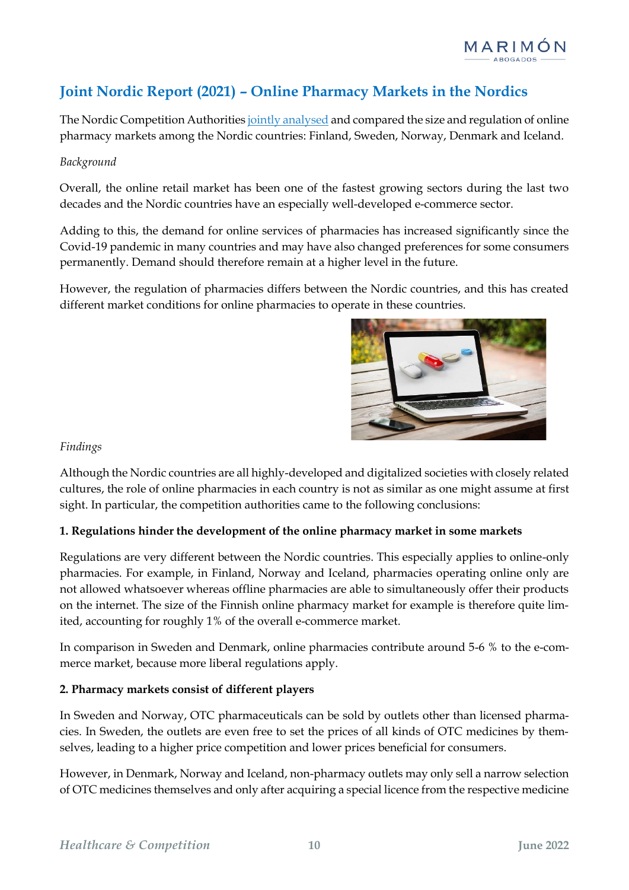# **Joint Nordic Report (2021) – Online Pharmacy Markets in the Nordics**

The Nordic Competition Authoritie[s jointly analysed](https://www.konkurrensverket.se/globalassets/dokument/informationsmaterial/rapporter-och-broschyrer/nordiska-rapporter/nordic-report_2021_online-pharmacy-markets-in-the-nordics.pdf) and compared the size and regulation of online pharmacy markets among the Nordic countries: Finland, Sweden, Norway, Denmark and Iceland.

### *Background*

Overall, the online retail market has been one of the fastest growing sectors during the last two decades and the Nordic countries have an especially well-developed e-commerce sector.

Adding to this, the demand for online services of pharmacies has increased significantly since the Covid-19 pandemic in many countries and may have also changed preferences for some consumers permanently. Demand should therefore remain at a higher level in the future.

However, the regulation of pharmacies differs between the Nordic countries, and this has created different market conditions for online pharmacies to operate in these countries.



### *Findings*

Although the Nordic countries are all highly-developed and digitalized societies with closely related cultures, the role of online pharmacies in each country is not as similar as one might assume at first sight. In particular, the competition authorities came to the following conclusions:

### **1. Regulations hinder the development of the online pharmacy market in some markets**

Regulations are very different between the Nordic countries. This especially applies to online-only pharmacies. For example, in Finland, Norway and Iceland, pharmacies operating online only are not allowed whatsoever whereas offline pharmacies are able to simultaneously offer their products on the internet. The size of the Finnish online pharmacy market for example is therefore quite limited, accounting for roughly 1% of the overall e-commerce market.

In comparison in Sweden and Denmark, online pharmacies contribute around 5-6 % to the e-commerce market, because more liberal regulations apply.

### **2. Pharmacy markets consist of different players**

In Sweden and Norway, OTC pharmaceuticals can be sold by outlets other than licensed pharmacies. In Sweden, the outlets are even free to set the prices of all kinds of OTC medicines by themselves, leading to a higher price competition and lower prices beneficial for consumers.

However, in Denmark, Norway and Iceland, non-pharmacy outlets may only sell a narrow selection of OTC medicines themselves and only after acquiring a special licence from the respective medicine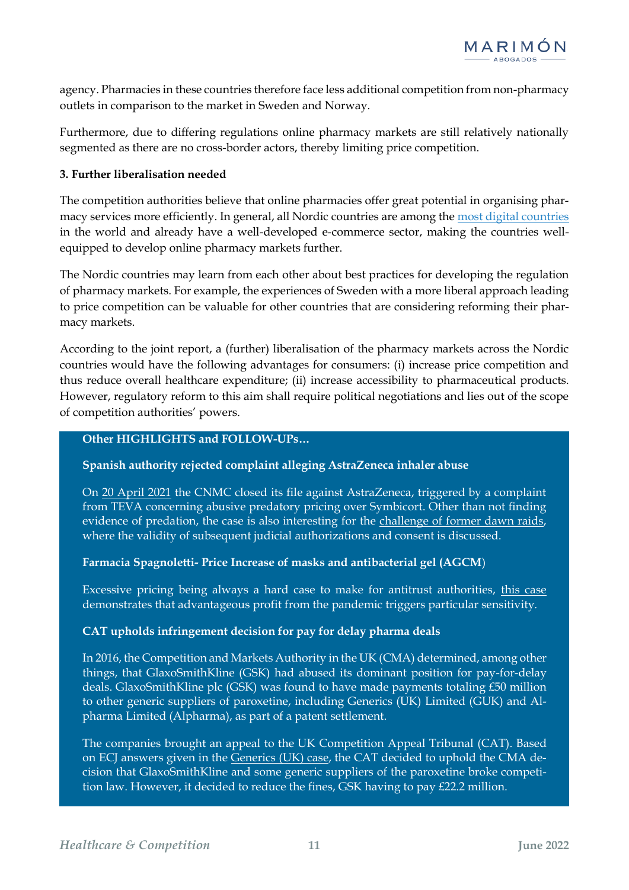agency. Pharmacies in these countries therefore face less additional competition from non-pharmacy outlets in comparison to the market in Sweden and Norway.

Furthermore, due to differing regulations online pharmacy markets are still relatively nationally segmented as there are no cross-border actors, thereby limiting price competition.

### **3. Further liberalisation needed**

The competition authorities believe that online pharmacies offer great potential in organising pharmacy services more efficiently. In general, all Nordic countries are among the [most digital countries](https://digital-strategy.ec.europa.eu/en/policies/desi) in the world and already have a well-developed e-commerce sector, making the countries wellequipped to develop online pharmacy markets further.

The Nordic countries may learn from each other about best practices for developing the regulation of pharmacy markets. For example, the experiences of Sweden with a more liberal approach leading to price competition can be valuable for other countries that are considering reforming their pharmacy markets.

According to the joint report, a (further) liberalisation of the pharmacy markets across the Nordic countries would have the following advantages for consumers: (i) increase price competition and thus reduce overall healthcare expenditure; (ii) increase accessibility to pharmaceutical products. However, regulatory reform to this aim shall require political negotiations and lies out of the scope of competition authorities' powers.

#### **Other HIGHLIGHTS and FOLLOW-UPs…**

### **Spanish authority rejected complaint alleging AstraZeneca inhaler abuse**

On [20 April 2021](https://www.cnmc.es/sites/default/files/3486826_1.pdf) the CNMC closed its file against AstraZeneca, triggered by a complaint from TEVA concerning abusive predatory pricing over Symbicort. Other than not finding evidence of predation, the case is also interesting for the [challenge of former dawn raids,](https://www.cnmc.es/sites/default/files/2734580_23.pdf) where the validity of subsequent judicial authorizations and consent is discussed.

### **Farmacia Spagnoletti- Price Increase of masks and antibacterial gel (AGCM**)

Excessive pricing being always a hard case to make for antitrust authorities, [this case](https://www.agcm.it/dotcmsCustom/tc/2026/5/getDominoAttach?urlStr=192.168.14.10:8080/C12560D000291394/0/9AEB4D8FB2391215C12586CA005559D5/$File/p29636.pdf) demonstrates that advantageous profit from the pandemic triggers particular sensitivity.

### **CAT upholds infringement decision for pay for delay pharma deals**

In 2016, the Competition and Markets Authority in the UK (CMA) determined, among other things, that GlaxoSmithKline (GSK) had abused its dominant position for pay-for-delay deals. GlaxoSmithKline plc (GSK) was found to have made payments totaling £50 million to other generic suppliers of paroxetine, including Generics (UK) Limited (GUK) and Alpharma Limited (Alpharma), as part of a patent settlement.

The companies brought an appeal to the UK Competition Appeal Tribunal (CAT). Based on ECJ answers given in the [Generics](file:///C:/Users/Yolanda/Downloads/Judgment%20of%20the%20Court%20(Fourth%20Chamber)%20of%2030%20January%202020%20%20Generics%20(UK)%20Ltd%20and%20Others%20v%20Competition%20and%20Markets%20Authority) (UK) case, the CAT decided to uphold the CMA decision that GlaxoSmithKline and some generic suppliers of the paroxetine broke competition law. However, it decided to reduce the fines, GSK having to pay  $\pounds$ 22.2 million.